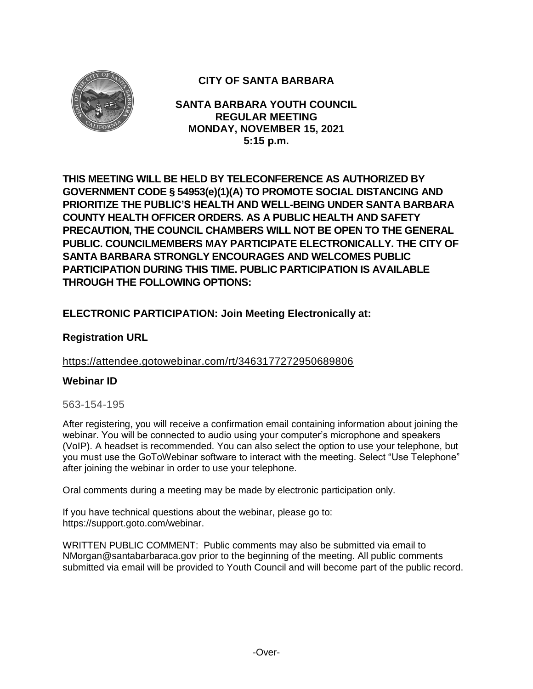

# **CITY OF SANTA BARBARA**

**SANTA BARBARA YOUTH COUNCIL REGULAR MEETING MONDAY, NOVEMBER 15, 2021 5:15 p.m.**

**THIS MEETING WILL BE HELD BY TELECONFERENCE AS AUTHORIZED BY GOVERNMENT CODE § 54953(e)(1)(A) TO PROMOTE SOCIAL DISTANCING AND PRIORITIZE THE PUBLIC'S HEALTH AND WELL-BEING UNDER SANTA BARBARA COUNTY HEALTH OFFICER ORDERS. AS A PUBLIC HEALTH AND SAFETY PRECAUTION, THE COUNCIL CHAMBERS WILL NOT BE OPEN TO THE GENERAL PUBLIC. COUNCILMEMBERS MAY PARTICIPATE ELECTRONICALLY. THE CITY OF SANTA BARBARA STRONGLY ENCOURAGES AND WELCOMES PUBLIC PARTICIPATION DURING THIS TIME. PUBLIC PARTICIPATION IS AVAILABLE THROUGH THE FOLLOWING OPTIONS:**

## **ELECTRONIC PARTICIPATION: Join Meeting Electronically at:**

### **Registration URL**

### <https://attendee.gotowebinar.com/rt/3463177272950689806>

#### **Webinar ID**

#### 563-154-195

After registering, you will receive a confirmation email containing information about joining the webinar. You will be connected to audio using your computer's microphone and speakers (VoIP). A headset is recommended. You can also select the option to use your telephone, but you must use the GoToWebinar software to interact with the meeting. Select "Use Telephone" after joining the webinar in order to use your telephone.

Oral comments during a meeting may be made by electronic participation only.

If you have technical questions about the webinar, please go to: https://support.goto.com/webinar.

WRITTEN PUBLIC COMMENT: Public comments may also be submitted via email to NMorgan@santabarbaraca.gov prior to the beginning of the meeting. All public comments submitted via email will be provided to Youth Council and will become part of the public record.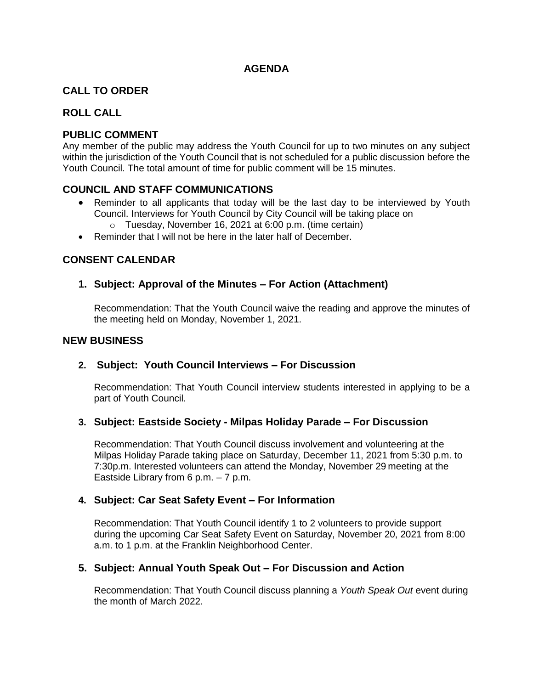### **AGENDA**

### **CALL TO ORDER**

### **ROLL CALL**

### **PUBLIC COMMENT**

Any member of the public may address the Youth Council for up to two minutes on any subject within the jurisdiction of the Youth Council that is not scheduled for a public discussion before the Youth Council. The total amount of time for public comment will be 15 minutes.

#### **COUNCIL AND STAFF COMMUNICATIONS**

- Reminder to all applicants that today will be the last day to be interviewed by Youth Council. Interviews for Youth Council by City Council will be taking place on
	- o Tuesday, November 16, 2021 at 6:00 p.m. (time certain)
- Reminder that I will not be here in the later half of December.

#### **CONSENT CALENDAR**

#### **1. Subject: Approval of the Minutes – For Action (Attachment)**

Recommendation: That the Youth Council waive the reading and approve the minutes of the meeting held on Monday, November 1, 2021.

#### **NEW BUSINESS**

### **2. Subject: Youth Council Interviews – For Discussion**

Recommendation: That Youth Council interview students interested in applying to be a part of Youth Council.

#### **3. Subject: Eastside Society - Milpas Holiday Parade – For Discussion**

Recommendation: That Youth Council discuss involvement and volunteering at the Milpas Holiday Parade taking place on Saturday, December 11, 2021 from 5:30 p.m. to 7:30p.m. Interested volunteers can attend the Monday, November 29 meeting at the Eastside Library from 6 p.m. – 7 p.m.

#### **4. Subject: Car Seat Safety Event – For Information**

Recommendation: That Youth Council identify 1 to 2 volunteers to provide support during the upcoming Car Seat Safety Event on Saturday, November 20, 2021 from 8:00 a.m. to 1 p.m. at the Franklin Neighborhood Center.

### **5. Subject: Annual Youth Speak Out – For Discussion and Action**

Recommendation: That Youth Council discuss planning a *Youth Speak Out* event during the month of March 2022.